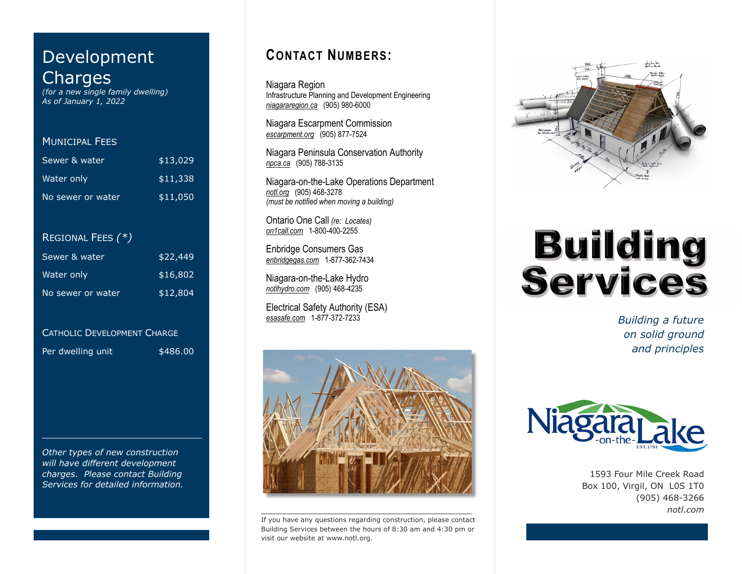# Development Charges

*(for a new single family dwelling) As of January 1, 2022*

## MUNICIPAL FEES

| Sewer & water     | \$13,029 |
|-------------------|----------|
| Water only        | \$11,338 |
| No sewer or water | \$11,050 |

## REGIONAL FEES *(\*)*

| Sewer & water     | \$22,449 |
|-------------------|----------|
| Water only        | \$16,802 |
| No sewer or water | \$12,804 |

### CATHOLIC DEVELOPMENT CHARGE

Per dwelling unit \$486.00

*Other types of new construction will have different development charges. Please contact Building Services for detailed information.*

# **CONTACT NUMBERS:**

Niagara Region Infrastructure Planning and Development Engineering *niagararegion.ca* (905) 980-6000

Niagara Escarpment Commission *escarpment.org* (905) 877-7524

Niagara Peninsula Conservation Authority *npca.ca* (905) 788-3135

Niagara-on-the-Lake Operations Department *notl.org* (905) 468-3278 *(must be notified when moving a building)*

Ontario One Call *(re: Locates) on1call.com* 1-800-400-2255

Enbridge Consumers Gas *enbridgegas.com* 1-877-362-7434

Niagara-on-the-Lake Hydro *notlhydro.com* (905) 468-4235

Electrical Safety Authority (ESA)<br>esasafe.com 1-877-372-7233



If you have any questions regarding construction, please contact Building Services between the hours of 8:30 am and 4:30 pm or visit our website at www.notl.org.



# **Building<br>Services**

**Building a future** *on solid ground and principles*



1593 Four Mile Creek Road Box 100, Virgil, ON L0S 1T0 (905) 468-3266 *notl.com*